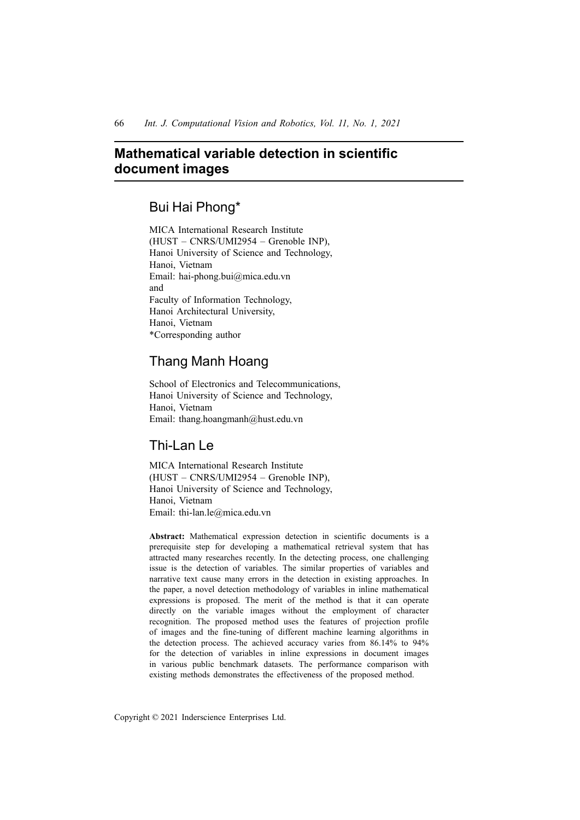# **Mathematical variable detection in scientific document images**

## Bui Hai Phong\*

MICA International Research Institute (HUST – CNRS/UMI2954 – Grenoble INP), Hanoi University of Science and Technology, Hanoi, Vietnam Email: hai-phong.bui@mica.edu.vn and Faculty of Information Technology, Hanoi Architectural University, Hanoi, Vietnam \*Corresponding author

# Thang Manh Hoang

School of Electronics and Telecommunications, Hanoi University of Science and Technology, Hanoi, Vietnam Email: thang.hoangmanh@hust.edu.vn

# Thi-Lan Le

MICA International Research Institute (HUST – CNRS/UMI2954 – Grenoble INP), Hanoi University of Science and Technology, Hanoi, Vietnam Email: thi-lan.le@mica.edu.vn

**Abstract:** Mathematical expression detection in scientific documents is a prerequisite step for developing a mathematical retrieval system that has attracted many researches recently. In the detecting process, one challenging issue is the detection of variables. The similar properties of variables and narrative text cause many errors in the detection in existing approaches. In the paper, a novel detection methodology of variables in inline mathematical expressions is proposed. The merit of the method is that it can operate directly on the variable images without the employment of character recognition. The proposed method uses the features of projection profile of images and the fine-tuning of different machine learning algorithms in the detection process. The achieved accuracy varies from 86.14% to 94% for the detection of variables in inline expressions in document images in various public benchmark datasets. The performance comparison with existing methods demonstrates the effectiveness of the proposed method.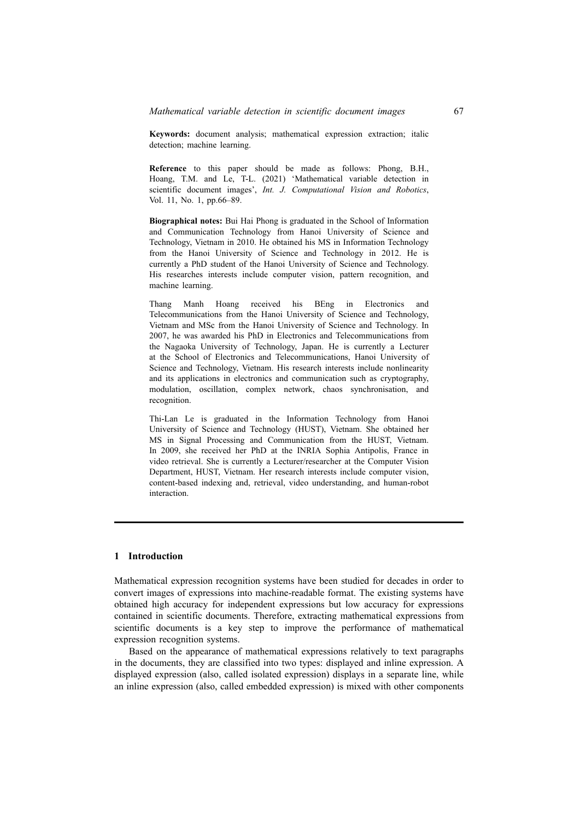**Keywords:** document analysis; mathematical expression extraction; italic detection; machine learning.

**Reference** to this paper should be made as follows: Phong, B.H., Hoang, T.M. and Le, T-L. (2021) 'Mathematical variable detection in scientific document images', *Int. J. Computational Vision and Robotics*, Vol. 11, No. 1, pp.66–89.

**Biographical notes:** Bui Hai Phong is graduated in the School of Information and Communication Technology from Hanoi University of Science and Technology, Vietnam in 2010. He obtained his MS in Information Technology from the Hanoi University of Science and Technology in 2012. He is currently a PhD student of the Hanoi University of Science and Technology. His researches interests include computer vision, pattern recognition, and machine learning.

Thang Manh Hoang received his BEng in Electronics and Telecommunications from the Hanoi University of Science and Technology, Vietnam and MSc from the Hanoi University of Science and Technology. In 2007, he was awarded his PhD in Electronics and Telecommunications from the Nagaoka University of Technology, Japan. He is currently a Lecturer at the School of Electronics and Telecommunications, Hanoi University of Science and Technology, Vietnam. His research interests include nonlinearity and its applications in electronics and communication such as cryptography, modulation, oscillation, complex network, chaos synchronisation, and recognition.

Thi-Lan Le is graduated in the Information Technology from Hanoi University of Science and Technology (HUST), Vietnam. She obtained her MS in Signal Processing and Communication from the HUST, Vietnam. In 2009, she received her PhD at the INRIA Sophia Antipolis, France in video retrieval. She is currently a Lecturer/researcher at the Computer Vision Department, HUST, Vietnam. Her research interests include computer vision, content-based indexing and, retrieval, video understanding, and human-robot interaction.

## **1 Introduction**

Mathematical expression recognition systems have been studied for decades in order to convert images of expressions into machine-readable format. The existing systems have obtained high accuracy for independent expressions but low accuracy for expressions contained in scientific documents. Therefore, extracting mathematical expressions from scientific documents is a key step to improve the performance of mathematical expression recognition systems.

Based on the appearance of mathematical expressions relatively to text paragraphs in the documents, they are classified into two types: displayed and inline expression. A displayed expression (also, called isolated expression) displays in a separate line, while an inline expression (also, called embedded expression) is mixed with other components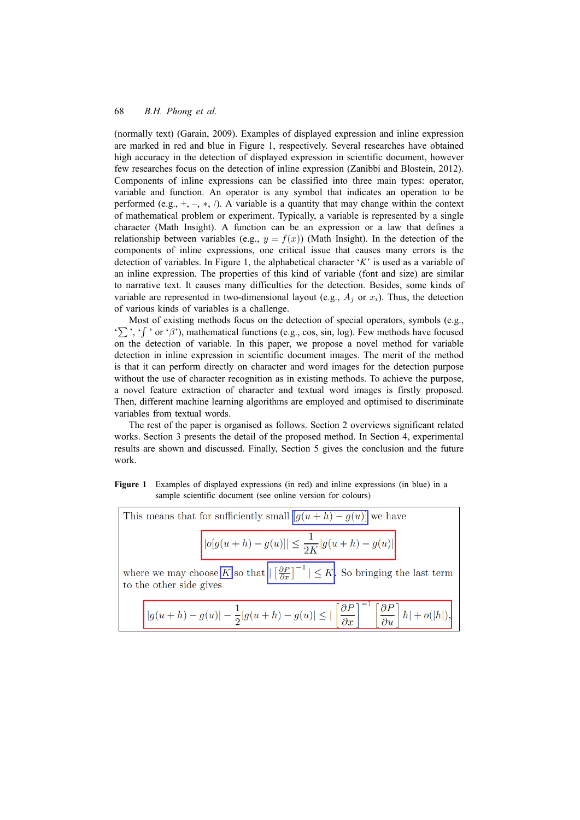(normally text) (Garain, 2009). Examples of displayed expression and inline expression are marked in red and blue in Figure 1, respectively. Several researches have obtained high accuracy in the detection of displayed expression in scientific document, however few researches focus on the detection of inline expression (Zanibbi and Blostein, 2012). Components of inline expressions can be classified into three main types: operator, variable and function. An operator is any symbol that indicates an operation to be performed (e.g.,  $+$ ,  $-$ ,  $*$ ,  $/$ ). A variable is a quantity that may change within the context of mathematical problem or experiment. Typically, a variable is represented by a single character (Math Insight). A function can be an expression or a law that defines a relationship between variables (e.g.,  $y = f(x)$ ) (Math Insight). In the detection of the components of inline expressions, one critical issue that causes many errors is the detection of variables. In Figure 1, the alphabetical character '*K*' is used as a variable of an inline expression. The properties of this kind of variable (font and size) are similar to narrative text. It causes many difficulties for the detection. Besides, some kinds of variable are represented in two-dimensional layout (e.g.,  $A_i$  or  $x_i$ ). Thus, the detection of various kinds of variables is a challenge.

Most of existing methods focus on the detection of special operators, symbols (e.g., '∑', '∫' or 'β'), mathematical functions (e.g., cos, sin, log). Few methods have focused on the detection of variable. In this paper, we propose a novel method for variable detection in inline expression in scientific document images. The merit of the method is that it can perform directly on character and word images for the detection purpose without the use of character recognition as in existing methods. To achieve the purpose, a novel feature extraction of character and textual word images is firstly proposed. Then, different machine learning algorithms are employed and optimised to discriminate variables from textual words.

The rest of the paper is organised as follows. Section 2 overviews significant related works. Section 3 presents the detail of the proposed method. In Section 4, experimental results are shown and discussed. Finally, Section 5 gives the conclusion and the future work.

**Figure 1** Examples of displayed expressions (in red) and inline expressions (in blue) in a sample scientific document (see online version for colours)

| This means that for sufficiently small $[g(u+h) - g(u)]$ we have                                                                                             |  |  |  |  |  |
|--------------------------------------------------------------------------------------------------------------------------------------------------------------|--|--|--|--|--|
| $  o[g(u+h) - g(u)]  \leq \frac{1}{2K} g(u+h) - g(u) $                                                                                                       |  |  |  |  |  |
| where we may choose K so that $\left  \left[ \frac{\partial P}{\partial x} \right]^{-1} \right  \leq K$ So bringing the last term<br>to the other side gives |  |  |  |  |  |
| $ g(u+h)-g(u) -\frac{1}{2} g(u+h)-g(u) \leq  \left[\frac{\partial P}{\partial x}\right]^{-1}\left[\frac{\partial P}{\partial u}\right]h +o( h ),$            |  |  |  |  |  |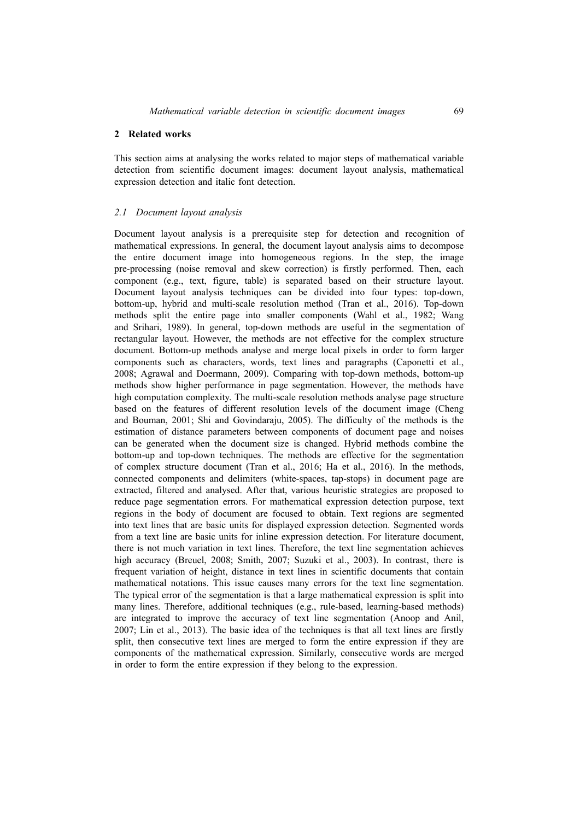#### **2 Related works**

This section aims at analysing the works related to major steps of mathematical variable detection from scientific document images: document layout analysis, mathematical expression detection and italic font detection.

#### *2.1 Document layout analysis*

Document layout analysis is a prerequisite step for detection and recognition of mathematical expressions. In general, the document layout analysis aims to decompose the entire document image into homogeneous regions. In the step, the image pre-processing (noise removal and skew correction) is firstly performed. Then, each component (e.g., text, figure, table) is separated based on their structure layout. Document layout analysis techniques can be divided into four types: top-down, bottom-up, hybrid and multi-scale resolution method (Tran et al., 2016). Top-down methods split the entire page into smaller components (Wahl et al., 1982; Wang and Srihari, 1989). In general, top-down methods are useful in the segmentation of rectangular layout. However, the methods are not effective for the complex structure document. Bottom-up methods analyse and merge local pixels in order to form larger components such as characters, words, text lines and paragraphs (Caponetti et al., 2008; Agrawal and Doermann, 2009). Comparing with top-down methods, bottom-up methods show higher performance in page segmentation. However, the methods have high computation complexity. The multi-scale resolution methods analyse page structure based on the features of different resolution levels of the document image (Cheng and Bouman, 2001; Shi and Govindaraju, 2005). The difficulty of the methods is the estimation of distance parameters between components of document page and noises can be generated when the document size is changed. Hybrid methods combine the bottom-up and top-down techniques. The methods are effective for the segmentation of complex structure document (Tran et al., 2016; Ha et al., 2016). In the methods, connected components and delimiters (white-spaces, tap-stops) in document page are extracted, filtered and analysed. After that, various heuristic strategies are proposed to reduce page segmentation errors. For mathematical expression detection purpose, text regions in the body of document are focused to obtain. Text regions are segmented into text lines that are basic units for displayed expression detection. Segmented words from a text line are basic units for inline expression detection. For literature document, there is not much variation in text lines. Therefore, the text line segmentation achieves high accuracy (Breuel, 2008; Smith, 2007; Suzuki et al., 2003). In contrast, there is frequent variation of height, distance in text lines in scientific documents that contain mathematical notations. This issue causes many errors for the text line segmentation. The typical error of the segmentation is that a large mathematical expression is split into many lines. Therefore, additional techniques (e.g., rule-based, learning-based methods) are integrated to improve the accuracy of text line segmentation (Anoop and Anil, 2007; Lin et al., 2013). The basic idea of the techniques is that all text lines are firstly split, then consecutive text lines are merged to form the entire expression if they are components of the mathematical expression. Similarly, consecutive words are merged in order to form the entire expression if they belong to the expression.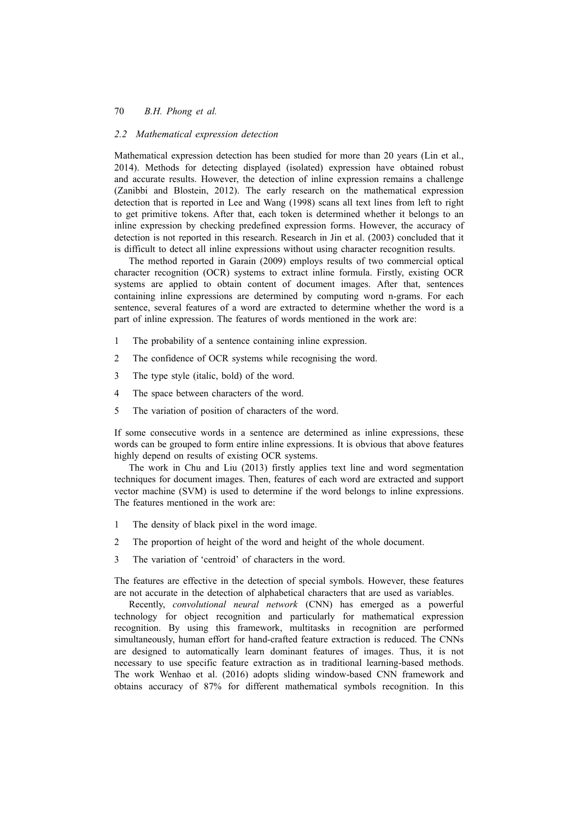## *2.2 Mathematical expression detection*

Mathematical expression detection has been studied for more than 20 years (Lin et al., 2014). Methods for detecting displayed (isolated) expression have obtained robust and accurate results. However, the detection of inline expression remains a challenge (Zanibbi and Blostein, 2012). The early research on the mathematical expression detection that is reported in Lee and Wang (1998) scans all text lines from left to right to get primitive tokens. After that, each token is determined whether it belongs to an inline expression by checking predefined expression forms. However, the accuracy of detection is not reported in this research. Research in Jin et al. (2003) concluded that it is difficult to detect all inline expressions without using character recognition results.

The method reported in Garain (2009) employs results of two commercial optical character recognition (OCR) systems to extract inline formula. Firstly, existing OCR systems are applied to obtain content of document images. After that, sentences containing inline expressions are determined by computing word n-grams. For each sentence, several features of a word are extracted to determine whether the word is a part of inline expression. The features of words mentioned in the work are:

- 1 The probability of a sentence containing inline expression.
- 2 The confidence of OCR systems while recognising the word.
- 3 The type style (italic, bold) of the word.
- 4 The space between characters of the word.
- 5 The variation of position of characters of the word.

If some consecutive words in a sentence are determined as inline expressions, these words can be grouped to form entire inline expressions. It is obvious that above features highly depend on results of existing OCR systems.

The work in Chu and Liu (2013) firstly applies text line and word segmentation techniques for document images. Then, features of each word are extracted and support vector machine (SVM) is used to determine if the word belongs to inline expressions. The features mentioned in the work are:

- 1 The density of black pixel in the word image.
- 2 The proportion of height of the word and height of the whole document.
- 3 The variation of 'centroid' of characters in the word.

The features are effective in the detection of special symbols. However, these features are not accurate in the detection of alphabetical characters that are used as variables.

Recently, *convolutional neural network* (CNN) has emerged as a powerful technology for object recognition and particularly for mathematical expression recognition. By using this framework, multitasks in recognition are performed simultaneously, human effort for hand-crafted feature extraction is reduced. The CNNs are designed to automatically learn dominant features of images. Thus, it is not necessary to use specific feature extraction as in traditional learning-based methods. The work Wenhao et al. (2016) adopts sliding window-based CNN framework and obtains accuracy of 87% for different mathematical symbols recognition. In this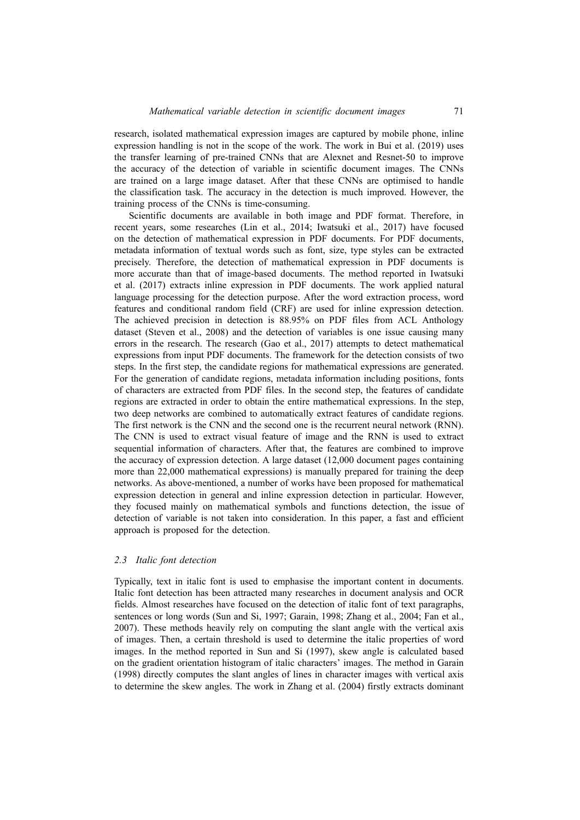research, isolated mathematical expression images are captured by mobile phone, inline expression handling is not in the scope of the work. The work in Bui et al. (2019) uses the transfer learning of pre-trained CNNs that are Alexnet and Resnet-50 to improve the accuracy of the detection of variable in scientific document images. The CNNs are trained on a large image dataset. After that these CNNs are optimised to handle the classification task. The accuracy in the detection is much improved. However, the training process of the CNNs is time-consuming.

Scientific documents are available in both image and PDF format. Therefore, in recent years, some researches (Lin et al., 2014; Iwatsuki et al., 2017) have focused on the detection of mathematical expression in PDF documents. For PDF documents, metadata information of textual words such as font, size, type styles can be extracted precisely. Therefore, the detection of mathematical expression in PDF documents is more accurate than that of image-based documents. The method reported in Iwatsuki et al. (2017) extracts inline expression in PDF documents. The work applied natural language processing for the detection purpose. After the word extraction process, word features and conditional random field (CRF) are used for inline expression detection. The achieved precision in detection is 88.95% on PDF files from ACL Anthology dataset (Steven et al., 2008) and the detection of variables is one issue causing many errors in the research. The research (Gao et al., 2017) attempts to detect mathematical expressions from input PDF documents. The framework for the detection consists of two steps. In the first step, the candidate regions for mathematical expressions are generated. For the generation of candidate regions, metadata information including positions, fonts of characters are extracted from PDF files. In the second step, the features of candidate regions are extracted in order to obtain the entire mathematical expressions. In the step, two deep networks are combined to automatically extract features of candidate regions. The first network is the CNN and the second one is the recurrent neural network (RNN). The CNN is used to extract visual feature of image and the RNN is used to extract sequential information of characters. After that, the features are combined to improve the accuracy of expression detection. A large dataset (12,000 document pages containing more than 22,000 mathematical expressions) is manually prepared for training the deep networks. As above-mentioned, a number of works have been proposed for mathematical expression detection in general and inline expression detection in particular. However, they focused mainly on mathematical symbols and functions detection, the issue of detection of variable is not taken into consideration. In this paper, a fast and efficient approach is proposed for the detection.

## *2.3 Italic font detection*

Typically, text in italic font is used to emphasise the important content in documents. Italic font detection has been attracted many researches in document analysis and OCR fields. Almost researches have focused on the detection of italic font of text paragraphs, sentences or long words (Sun and Si, 1997; Garain, 1998; Zhang et al., 2004; Fan et al., 2007). These methods heavily rely on computing the slant angle with the vertical axis of images. Then, a certain threshold is used to determine the italic properties of word images. In the method reported in Sun and Si (1997), skew angle is calculated based on the gradient orientation histogram of italic characters' images. The method in Garain (1998) directly computes the slant angles of lines in character images with vertical axis to determine the skew angles. The work in Zhang et al. (2004) firstly extracts dominant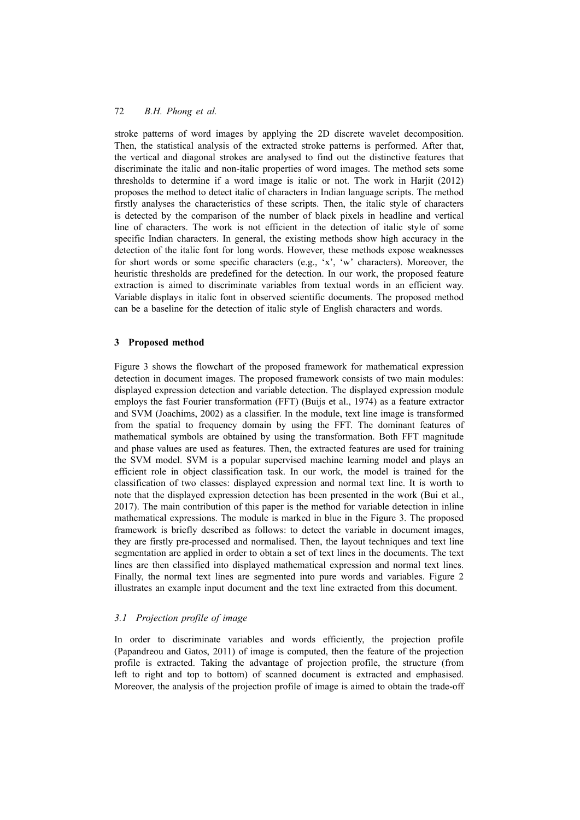stroke patterns of word images by applying the 2D discrete wavelet decomposition. Then, the statistical analysis of the extracted stroke patterns is performed. After that, the vertical and diagonal strokes are analysed to find out the distinctive features that discriminate the italic and non-italic properties of word images. The method sets some thresholds to determine if a word image is italic or not. The work in Harjit (2012) proposes the method to detect italic of characters in Indian language scripts. The method firstly analyses the characteristics of these scripts. Then, the italic style of characters is detected by the comparison of the number of black pixels in headline and vertical line of characters. The work is not efficient in the detection of italic style of some specific Indian characters. In general, the existing methods show high accuracy in the detection of the italic font for long words. However, these methods expose weaknesses for short words or some specific characters (e.g., 'x', 'w' characters). Moreover, the heuristic thresholds are predefined for the detection. In our work, the proposed feature extraction is aimed to discriminate variables from textual words in an efficient way. Variable displays in italic font in observed scientific documents. The proposed method can be a baseline for the detection of italic style of English characters and words.

## **3 Proposed method**

Figure 3 shows the flowchart of the proposed framework for mathematical expression detection in document images. The proposed framework consists of two main modules: displayed expression detection and variable detection. The displayed expression module employs the fast Fourier transformation (FFT) (Buijs et al., 1974) as a feature extractor and SVM (Joachims, 2002) as a classifier. In the module, text line image is transformed from the spatial to frequency domain by using the FFT. The dominant features of mathematical symbols are obtained by using the transformation. Both FFT magnitude and phase values are used as features. Then, the extracted features are used for training the SVM model. SVM is a popular supervised machine learning model and plays an efficient role in object classification task. In our work, the model is trained for the classification of two classes: displayed expression and normal text line. It is worth to note that the displayed expression detection has been presented in the work (Bui et al., 2017). The main contribution of this paper is the method for variable detection in inline mathematical expressions. The module is marked in blue in the Figure 3. The proposed framework is briefly described as follows: to detect the variable in document images, they are firstly pre-processed and normalised. Then, the layout techniques and text line segmentation are applied in order to obtain a set of text lines in the documents. The text lines are then classified into displayed mathematical expression and normal text lines. Finally, the normal text lines are segmented into pure words and variables. Figure 2 illustrates an example input document and the text line extracted from this document.

## *3.1 Projection profile of image*

In order to discriminate variables and words efficiently, the projection profile (Papandreou and Gatos, 2011) of image is computed, then the feature of the projection profile is extracted. Taking the advantage of projection profile, the structure (from left to right and top to bottom) of scanned document is extracted and emphasised. Moreover, the analysis of the projection profile of image is aimed to obtain the trade-off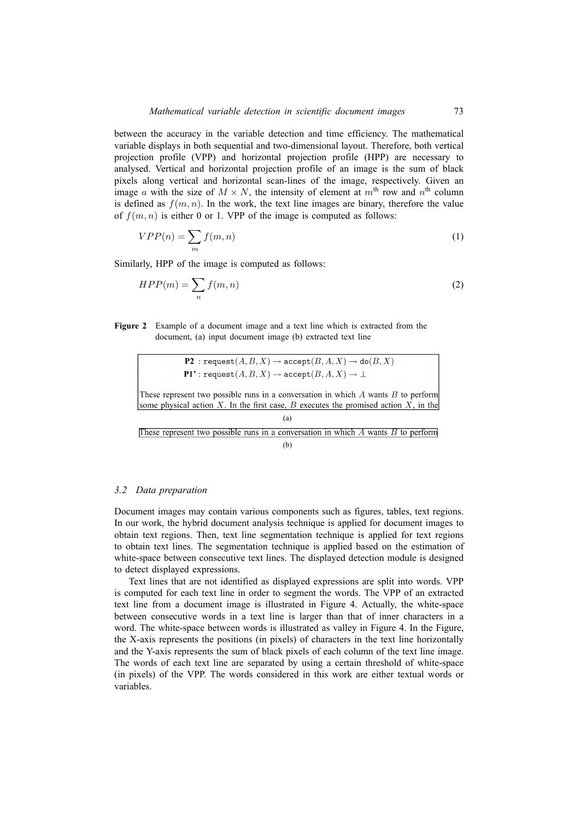between the accuracy in the variable detection and time efficiency. The mathematical variable displays in both sequential and two-dimensional layout. Therefore, both vertical projection profile (VPP) and horizontal projection profile (HPP) are necessary to analysed. Vertical and horizontal projection profile of an image is the sum of black pixels along vertical and horizontal scan-lines of the image, respectively. Given an image *a* with the size of  $M \times N$ , the intensity of element at  $m^{\text{th}}$  row and  $n^{\text{th}}$  column is defined as  $f(m, n)$ . In the work, the text line images are binary, therefore the value of  $f(m, n)$  is either 0 or 1. VPP of the image is computed as follows:

$$
VPP(n) = \sum_{m} f(m, n) \tag{1}
$$

Similarly, HPP of the image is computed as follows:

$$
HPP(m) = \sum_{n} f(m, n) \tag{2}
$$

**Figure 2** Example of a document image and a text line which is extracted from the document, (a) input document image (b) extracted text line

> **P2**: request $(A, B, X) \rightarrow$  accept $(B, A, X) \rightarrow$  do $(B, X)$ **P1'**: request $(A, B, X) \rightarrow$  accept $(B, A, X) \rightarrow \perp$

These represent two possible runs in a conversation in which A wants B to perform some physical action X. In the first case, B executes the promised action X, in the

(a) These represent two possible runs in a conversation in which  $A$  wants  $B$  to perform (b)

### *3.2 Data preparation*

Document images may contain various components such as figures, tables, text regions. In our work, the hybrid document analysis technique is applied for document images to obtain text regions. Then, text line segmentation technique is applied for text regions to obtain text lines. The segmentation technique is applied based on the estimation of white-space between consecutive text lines. The displayed detection module is designed to detect displayed expressions.

Text lines that are not identified as displayed expressions are split into words. VPP is computed for each text line in order to segment the words. The VPP of an extracted text line from a document image is illustrated in Figure 4. Actually, the white-space between consecutive words in a text line is larger than that of inner characters in a word. The white-space between words is illustrated as valley in Figure 4. In the Figure, the X-axis represents the positions (in pixels) of characters in the text line horizontally and the Y-axis represents the sum of black pixels of each column of the text line image. The words of each text line are separated by using a certain threshold of white-space (in pixels) of the VPP. The words considered in this work are either textual words or variables.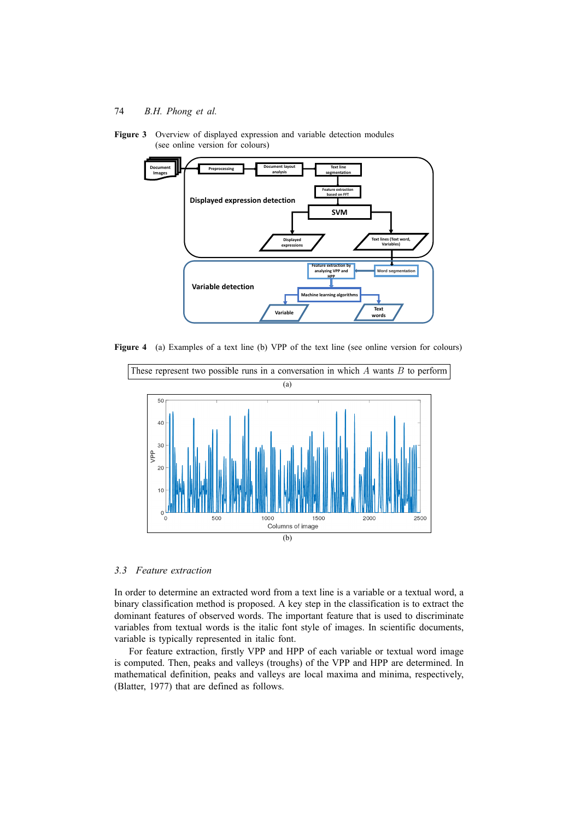**Figure 3** Overview of displayed expression and variable detection modules (see online version for colours)



Figure 4 (a) Examples of a text line (b) VPP of the text line (see online version for colours)



*3.3 Feature extraction*

In order to determine an extracted word from a text line is a variable or a textual word, a binary classification method is proposed. A key step in the classification is to extract the dominant features of observed words. The important feature that is used to discriminate variables from textual words is the italic font style of images. In scientific documents, variable is typically represented in italic font.

For feature extraction, firstly VPP and HPP of each variable or textual word image is computed. Then, peaks and valleys (troughs) of the VPP and HPP are determined. In mathematical definition, peaks and valleys are local maxima and minima, respectively, (Blatter, 1977) that are defined as follows.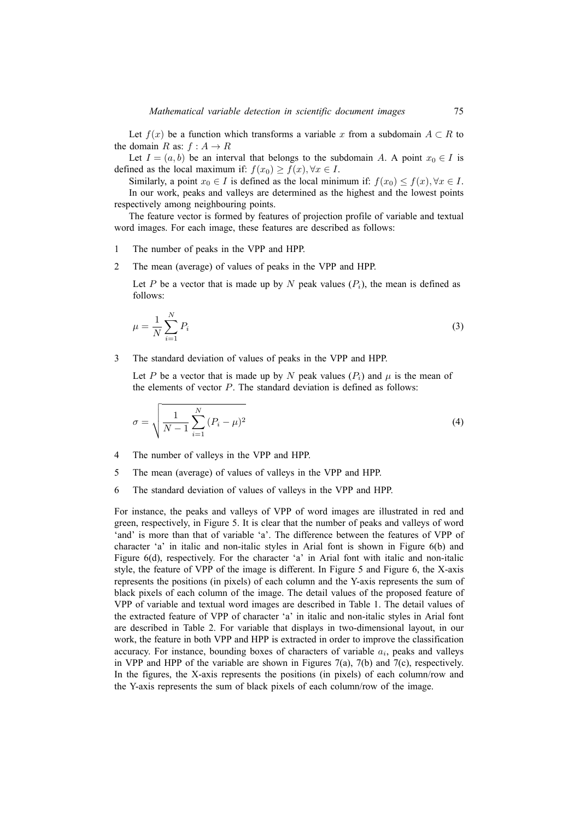Let  $f(x)$  be a function which transforms a variable x from a subdomain  $A \subset R$  to the domain *R* as:  $f : A \rightarrow R$ 

Let  $I = (a, b)$  be an interval that belongs to the subdomain *A*. A point  $x_0 \in I$  is defined as the local maximum if:  $f(x_0) \ge f(x), \forall x \in I$ .

Similarly, a point  $x_0 \in I$  is defined as the local minimum if:  $f(x_0) \leq f(x), \forall x \in I$ .

In our work, peaks and valleys are determined as the highest and the lowest points respectively among neighbouring points.

The feature vector is formed by features of projection profile of variable and textual word images. For each image, these features are described as follows:

- 1 The number of peaks in the VPP and HPP.
- 2 The mean (average) of values of peaks in the VPP and HPP.

Let *P* be a vector that is made up by *N* peak values  $(P_i)$ , the mean is defined as follows:

$$
\mu = \frac{1}{N} \sum_{i=1}^{N} P_i \tag{3}
$$

3 The standard deviation of values of peaks in the VPP and HPP.

Let *P* be a vector that is made up by *N* peak values  $(P_i)$  and  $\mu$  is the mean of the elements of vector *P*. The standard deviation is defined as follows:

$$
\sigma = \sqrt{\frac{1}{N-1} \sum_{i=1}^{N} (P_i - \mu)^2}
$$
\n(4)

- 4 The number of valleys in the VPP and HPP.
- 5 The mean (average) of values of valleys in the VPP and HPP.
- 6 The standard deviation of values of valleys in the VPP and HPP.

For instance, the peaks and valleys of VPP of word images are illustrated in red and green, respectively, in Figure 5. It is clear that the number of peaks and valleys of word 'and' is more than that of variable 'a'. The difference between the features of VPP of character 'a' in italic and non-italic styles in Arial font is shown in Figure 6(b) and Figure 6(d), respectively. For the character 'a' in Arial font with italic and non-italic style, the feature of VPP of the image is different. In Figure 5 and Figure 6, the X-axis represents the positions (in pixels) of each column and the Y-axis represents the sum of black pixels of each column of the image. The detail values of the proposed feature of VPP of variable and textual word images are described in Table 1. The detail values of the extracted feature of VPP of character 'a' in italic and non-italic styles in Arial font are described in Table 2. For variable that displays in two-dimensional layout, in our work, the feature in both VPP and HPP is extracted in order to improve the classification accuracy. For instance, bounding boxes of characters of variable *a<sup>i</sup>* , peaks and valleys in VPP and HPP of the variable are shown in Figures 7(a), 7(b) and 7(c), respectively. In the figures, the X-axis represents the positions (in pixels) of each column/row and the Y-axis represents the sum of black pixels of each column/row of the image.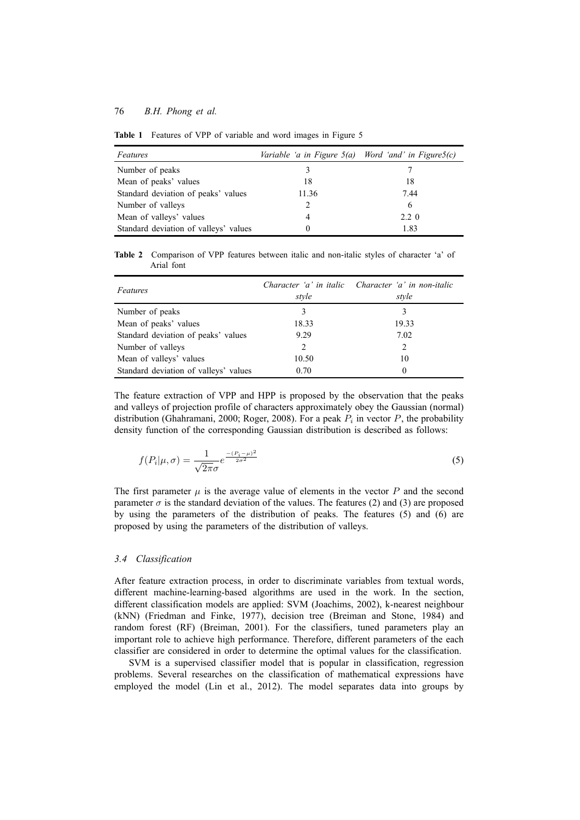| Features                              | Variable 'a in Figure $5(a)$ Word 'and' in Figure $5(c)$ |              |
|---------------------------------------|----------------------------------------------------------|--------------|
| Number of peaks                       |                                                          |              |
| Mean of peaks' values                 | 18                                                       | 18           |
| Standard deviation of peaks' values   | 11.36                                                    | 7.44         |
| Number of valleys                     |                                                          | 6            |
| Mean of valleys' values               |                                                          | $2.2 \Omega$ |
| Standard deviation of valleys' values |                                                          | 1.83         |

**Table 1** Features of VPP of variable and word images in Figure 5

**Table 2** Comparison of VPP features between italic and non-italic styles of character 'a' of Arial font

| Features                              | style | Character 'a' in italic Character 'a' in non-italic<br>style |
|---------------------------------------|-------|--------------------------------------------------------------|
| Number of peaks                       | 3     |                                                              |
| Mean of peaks' values                 | 18.33 | 19.33                                                        |
| Standard deviation of peaks' values   | 9.29  | 7.02                                                         |
| Number of valleys                     | 2     | 2                                                            |
| Mean of valleys' values               | 10.50 | 10                                                           |
| Standard deviation of valleys' values | 0.70  | $\Omega$                                                     |

The feature extraction of VPP and HPP is proposed by the observation that the peaks and valleys of projection profile of characters approximately obey the Gaussian (normal) distribution (Ghahramani, 2000; Roger, 2008). For a peak *P<sup>i</sup>* in vector *P*, the probability density function of the corresponding Gaussian distribution is described as follows:

$$
f(P_i|\mu,\sigma) = \frac{1}{\sqrt{2\pi}\sigma}e^{-\frac{(P_i-\mu)^2}{2\sigma^2}}
$$
\n(5)

The first parameter  $\mu$  is the average value of elements in the vector  $P$  and the second parameter  $\sigma$  is the standard deviation of the values. The features (2) and (3) are proposed by using the parameters of the distribution of peaks. The features (5) and (6) are proposed by using the parameters of the distribution of valleys.

## *3.4 Classification*

After feature extraction process, in order to discriminate variables from textual words, different machine-learning-based algorithms are used in the work. In the section, different classification models are applied: SVM (Joachims, 2002), k-nearest neighbour (kNN) (Friedman and Finke, 1977), decision tree (Breiman and Stone, 1984) and random forest (RF) (Breiman, 2001). For the classifiers, tuned parameters play an important role to achieve high performance. Therefore, different parameters of the each classifier are considered in order to determine the optimal values for the classification.

SVM is a supervised classifier model that is popular in classification, regression problems. Several researches on the classification of mathematical expressions have employed the model (Lin et al., 2012). The model separates data into groups by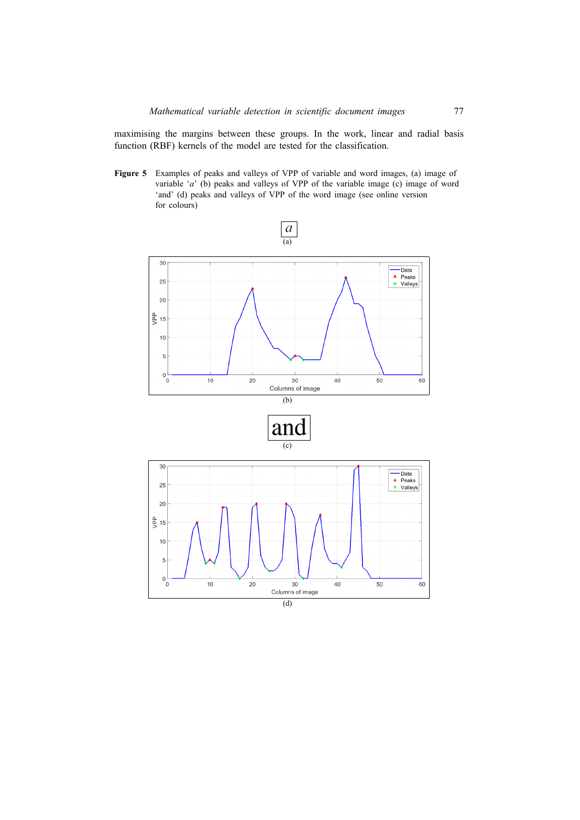maximising the margins between these groups. In the work, linear and radial basis function (RBF) kernels of the model are tested for the classification.

**Figure 5** Examples of peaks and valleys of VPP of variable and word images, (a) image of variable '*a*' (b) peaks and valleys of VPP of the variable image (c) image of word 'and' (d) peaks and valleys of VPP of the word image (see online version for colours)

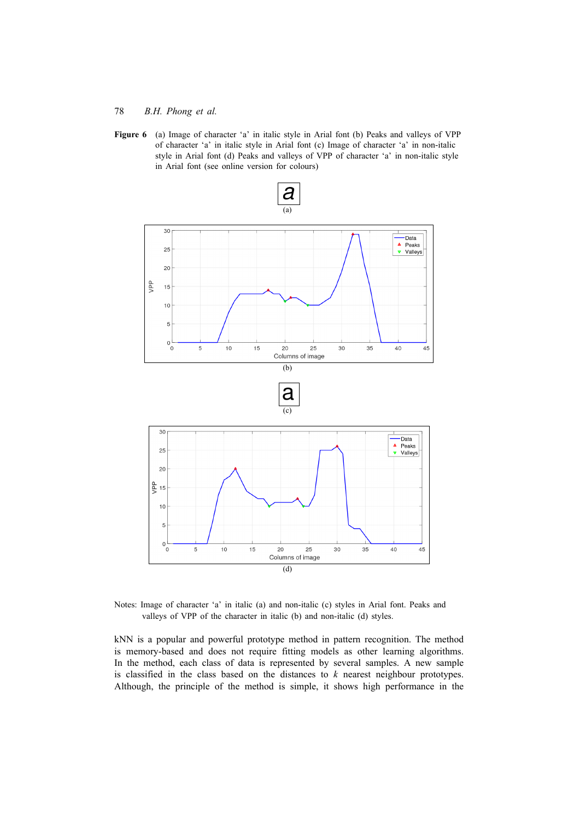**Figure 6** (a) Image of character 'a' in italic style in Arial font (b) Peaks and valleys of VPP of character 'a' in italic style in Arial font (c) Image of character 'a' in non-italic style in Arial font (d) Peaks and valleys of VPP of character 'a' in non-italic style in Arial font (see online version for colours)



Notes: Image of character 'a' in italic (a) and non-italic (c) styles in Arial font. Peaks and valleys of VPP of the character in italic (b) and non-italic (d) styles.

kNN is a popular and powerful prototype method in pattern recognition. The method is memory-based and does not require fitting models as other learning algorithms. In the method, each class of data is represented by several samples. A new sample is classified in the class based on the distances to *k* nearest neighbour prototypes. Although, the principle of the method is simple, it shows high performance in the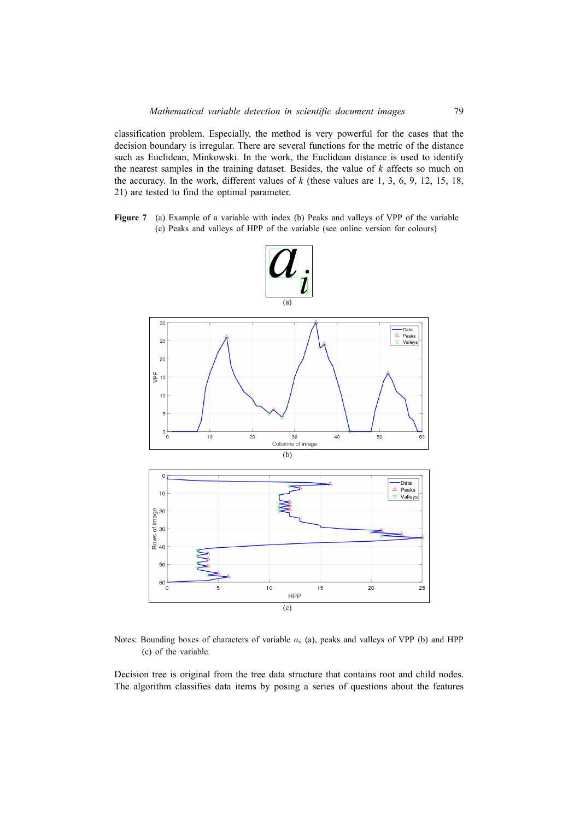classification problem. Especially, the method is very powerful for the cases that the decision boundary is irregular. There are several functions for the metric of the distance such as Euclidean, Minkowski. In the work, the Euclidean distance is used to identify the nearest samples in the training dataset. Besides, the value of *k* affects so much on the accuracy. In the work, different values of *k* (these values are 1, 3, 6, 9, 12, 15, 18, 21) are tested to find the optimal parameter.

**Figure 7** (a) Example of a variable with index (b) Peaks and valleys of VPP of the variable (c) Peaks and valleys of HPP of the variable (see online version for colours)



Notes: Bounding boxes of characters of variable *a<sup>i</sup>* (a), peaks and valleys of VPP (b) and HPP (c) of the variable.

Decision tree is original from the tree data structure that contains root and child nodes. The algorithm classifies data items by posing a series of questions about the features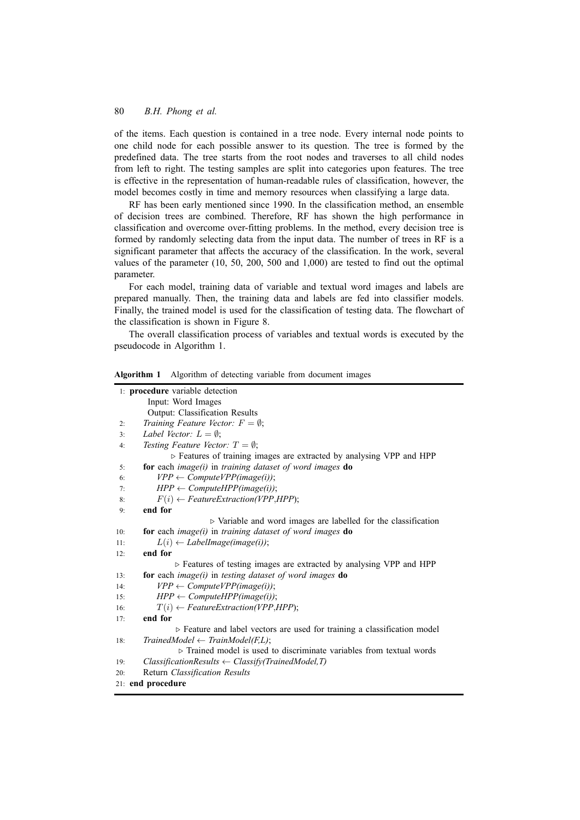of the items. Each question is contained in a tree node. Every internal node points to one child node for each possible answer to its question. The tree is formed by the predefined data. The tree starts from the root nodes and traverses to all child nodes from left to right. The testing samples are split into categories upon features. The tree is effective in the representation of human-readable rules of classification, however, the model becomes costly in time and memory resources when classifying a large data.

RF has been early mentioned since 1990. In the classification method, an ensemble of decision trees are combined. Therefore, RF has shown the high performance in classification and overcome over-fitting problems. In the method, every decision tree is formed by randomly selecting data from the input data. The number of trees in RF is a significant parameter that affects the accuracy of the classification. In the work, several values of the parameter (10, 50, 200, 500 and 1,000) are tested to find out the optimal parameter.

For each model, training data of variable and textual word images and labels are prepared manually. Then, the training data and labels are fed into classifier models. Finally, the trained model is used for the classification of testing data. The flowchart of the classification is shown in Figure 8.

The overall classification process of variables and textual words is executed by the pseudocode in Algorithm 1.

| 1: procedure variable detection                                                     |  |
|-------------------------------------------------------------------------------------|--|
| Input: Word Images                                                                  |  |
| Output: Classification Results                                                      |  |
| Training Feature Vector: $F = \emptyset$ ;<br>2:                                    |  |
| Label Vector: $L = \emptyset$ ;<br>3:                                               |  |
| Testing Feature Vector: $T = \emptyset$ ;<br>4:                                     |  |
| > Features of training images are extracted by analysing VPP and HPP                |  |
| for each image $(i)$ in training dataset of word images do<br>5:                    |  |
| $VPP \leftarrow Compute VPP(image(i));$<br>6:                                       |  |
| $HPP \leftarrow ComputeHPP(image(i));$<br>7:                                        |  |
| $F(i) \leftarrow Feature Extraction(VPP,HPP);$<br>8:                                |  |
| end for<br>9:                                                                       |  |
| $\triangleright$ Variable and word images are labelled for the classification       |  |
| for each image $(i)$ in training dataset of word images do<br>10:                   |  |
| $L(i) \leftarrow LabelImage(image(i));$<br>11:                                      |  |
| end for<br>12:                                                                      |  |
| $\triangleright$ Features of testing images are extracted by analysing VPP and HPP  |  |
| for each image $(i)$ in testing dataset of word images do<br>13:                    |  |
| $VPP \leftarrow Compute VPP(image(i));$<br>14:                                      |  |
| $HPP \leftarrow ComputeHPP(image(i));$<br>15:                                       |  |
| $T(i) \leftarrow Feature Extraction(VPP,HPP);$<br>16:                               |  |
| end for<br>17:                                                                      |  |
| > Feature and label vectors are used for training a classification model            |  |
| $TriangleModel \leftarrow TrainModel(F, L);$<br>18:                                 |  |
| $\triangleright$ Trained model is used to discriminate variables from textual words |  |
| $ClassificationResults \leftarrow Classify(TriangleModel, T)$<br>19:                |  |
| Return Classification Results<br>20:                                                |  |
| 21: end procedure                                                                   |  |

**Algorithm 1** Algorithm of detecting variable from document images **Algorithm 1** Algorithm of detecting variable from document images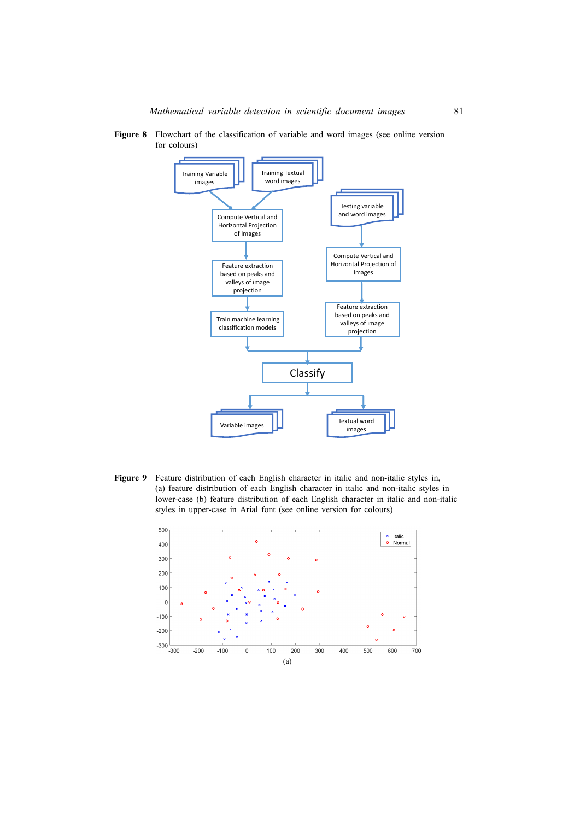**Figure 8** Flowchart of the classification of variable and word images (see online version for colours)

![](_page_15_Figure_2.jpeg)

**Figure 9** Feature distribution of each English character in italic and non-italic styles in, (a) feature distribution of each English character in italic and non-italic styles in lower-case (b) feature distribution of each English character in italic and non-italic styles in upper-case in Arial font (see online version for colours)

![](_page_15_Figure_4.jpeg)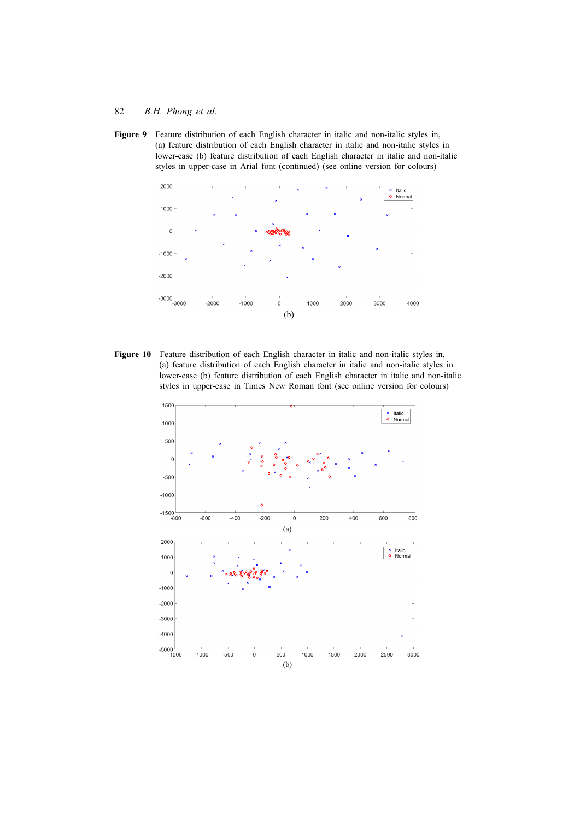**Figure 9** Feature distribution of each English character in italic and non-italic styles in, (a) feature distribution of each English character in italic and non-italic styles in lower-case (b) feature distribution of each English character in italic and non-italic styles in upper-case in Arial font (continued) (see online version for colours)

![](_page_16_Figure_2.jpeg)

Figure 10 Feature distribution of each English character in italic and non-italic styles in, (a) feature distribution of each English character in italic and non-italic styles in lower-case (b) feature distribution of each English character in italic and non-italic styles in upper-case in Times New Roman font (see online version for colours)

![](_page_16_Figure_4.jpeg)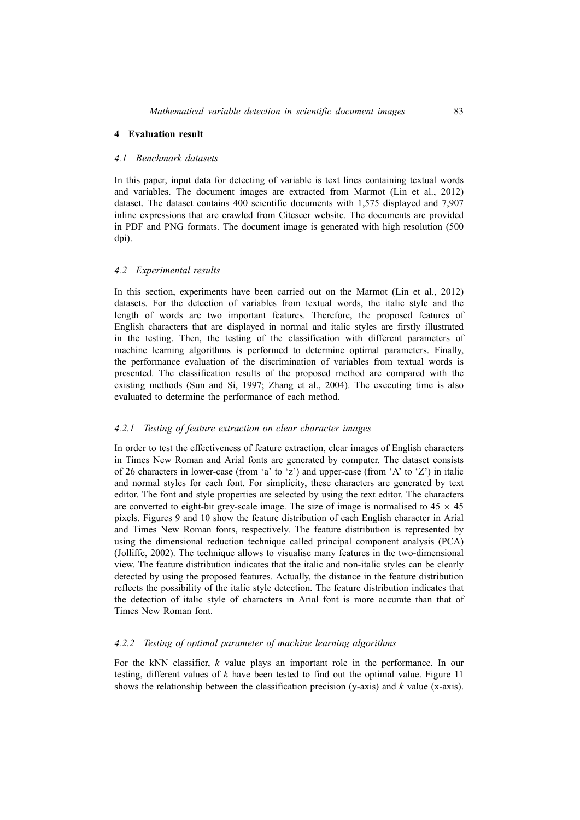## **4 Evaluation result**

#### *4.1 Benchmark datasets*

In this paper, input data for detecting of variable is text lines containing textual words and variables. The document images are extracted from Marmot (Lin et al., 2012) dataset. The dataset contains 400 scientific documents with 1,575 displayed and 7,907 inline expressions that are crawled from Citeseer website. The documents are provided in PDF and PNG formats. The document image is generated with high resolution (500 dpi).

#### *4.2 Experimental results*

In this section, experiments have been carried out on the Marmot (Lin et al., 2012) datasets. For the detection of variables from textual words, the italic style and the length of words are two important features. Therefore, the proposed features of English characters that are displayed in normal and italic styles are firstly illustrated in the testing. Then, the testing of the classification with different parameters of machine learning algorithms is performed to determine optimal parameters. Finally, the performance evaluation of the discrimination of variables from textual words is presented. The classification results of the proposed method are compared with the existing methods (Sun and Si, 1997; Zhang et al., 2004). The executing time is also evaluated to determine the performance of each method.

### *4.2.1 Testing of feature extraction on clear character images*

In order to test the effectiveness of feature extraction, clear images of English characters in Times New Roman and Arial fonts are generated by computer. The dataset consists of 26 characters in lower-case (from 'a' to 'z') and upper-case (from 'A' to 'Z') in italic and normal styles for each font. For simplicity, these characters are generated by text editor. The font and style properties are selected by using the text editor. The characters are converted to eight-bit grey-scale image. The size of image is normalised to  $45 \times 45$ pixels. Figures 9 and 10 show the feature distribution of each English character in Arial and Times New Roman fonts, respectively. The feature distribution is represented by using the dimensional reduction technique called principal component analysis (PCA) (Jolliffe, 2002). The technique allows to visualise many features in the two-dimensional view. The feature distribution indicates that the italic and non-italic styles can be clearly detected by using the proposed features. Actually, the distance in the feature distribution reflects the possibility of the italic style detection. The feature distribution indicates that the detection of italic style of characters in Arial font is more accurate than that of Times New Roman font.

## *4.2.2 Testing of optimal parameter of machine learning algorithms*

For the kNN classifier, *k* value plays an important role in the performance. In our testing, different values of  $k$  have been tested to find out the optimal value. Figure 11 shows the relationship between the classification precision (y-axis) and *k* value (x-axis).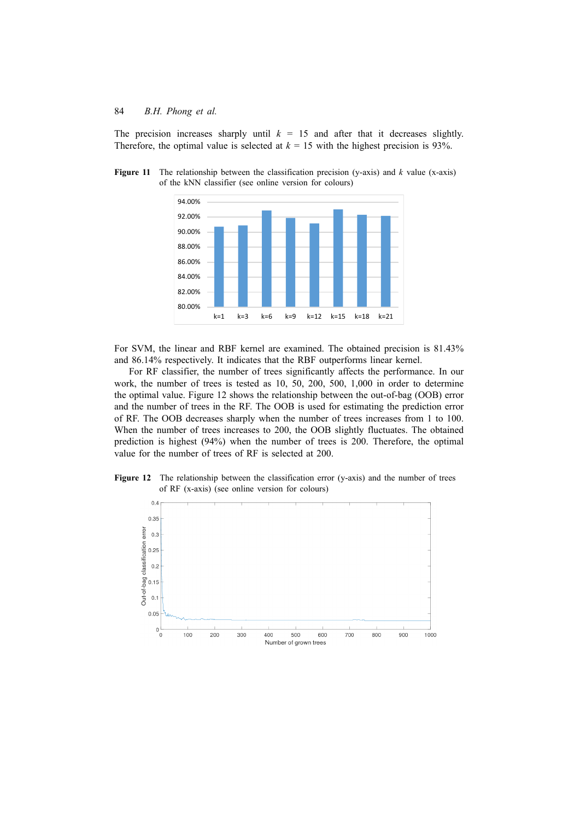The precision increases sharply until  $k = 15$  and after that it decreases slightly. Therefore, the optimal value is selected at  $k = 15$  with the highest precision is 93%.

**Figure 11** The relationship between the classification precision (y-axis) and *k* value (x-axis) of the kNN classifier (see online version for colours)

![](_page_18_Figure_3.jpeg)

For SVM, the linear and RBF kernel are examined. The obtained precision is 81.43% and 86.14% respectively. It indicates that the RBF outperforms linear kernel.

For RF classifier, the number of trees significantly affects the performance. In our work, the number of trees is tested as 10, 50, 200, 500, 1,000 in order to determine the optimal value. Figure 12 shows the relationship between the out-of-bag (OOB) error and the number of trees in the RF. The OOB is used for estimating the prediction error of RF. The OOB decreases sharply when the number of trees increases from 1 to 100. When the number of trees increases to 200, the OOB slightly fluctuates. The obtained prediction is highest (94%) when the number of trees is 200. Therefore, the optimal value for the number of trees of RF is selected at 200.

**Figure 12** The relationship between the classification error (y-axis) and the number of trees of RF (x-axis) (see online version for colours)

![](_page_18_Figure_7.jpeg)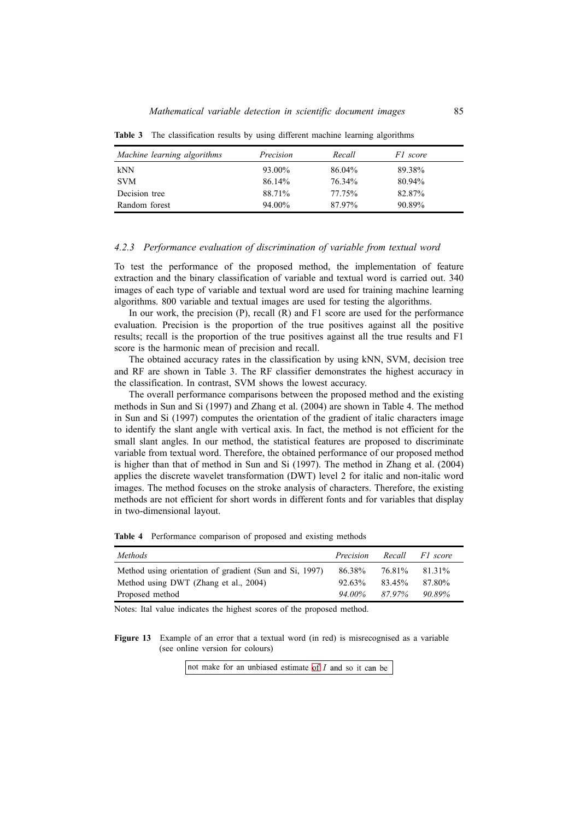| Machine learning algorithms | Precision | Recall | F1 score |  |
|-----------------------------|-----------|--------|----------|--|
| kNN                         | 93.00%    | 86.04% | 89.38%   |  |
| <b>SVM</b>                  | 86.14%    | 76.34% | 80.94%   |  |
| Decision tree               | 88.71%    | 77.75% | 82.87%   |  |
| Random forest               | 94.00%    | 87.97% | 90.89%   |  |

**Table 3** The classification results by using different machine learning algorithms

#### *4.2.3 Performance evaluation of discrimination of variable from textual word*

To test the performance of the proposed method, the implementation of feature extraction and the binary classification of variable and textual word is carried out. 340 images of each type of variable and textual word are used for training machine learning algorithms. 800 variable and textual images are used for testing the algorithms.

In our work, the precision (P), recall (R) and F1 score are used for the performance evaluation. Precision is the proportion of the true positives against all the positive results; recall is the proportion of the true positives against all the true results and F1 score is the harmonic mean of precision and recall.

The obtained accuracy rates in the classification by using kNN, SVM, decision tree and RF are shown in Table 3. The RF classifier demonstrates the highest accuracy in the classification. In contrast, SVM shows the lowest accuracy.

The overall performance comparisons between the proposed method and the existing methods in Sun and Si (1997) and Zhang et al. (2004) are shown in Table 4. The method in Sun and Si (1997) computes the orientation of the gradient of italic characters image to identify the slant angle with vertical axis. In fact, the method is not efficient for the small slant angles. In our method, the statistical features are proposed to discriminate variable from textual word. Therefore, the obtained performance of our proposed method is higher than that of method in Sun and Si (1997). The method in Zhang et al. (2004) applies the discrete wavelet transformation (DWT) level 2 for italic and non-italic word images. The method focuses on the stroke analysis of characters. Therefore, the existing methods are not efficient for short words in different fonts and for variables that display in two-dimensional layout.

| <b>Table 4</b> Performance comparison of proposed and existing methods |  |  |  |
|------------------------------------------------------------------------|--|--|--|
|                                                                        |  |  |  |

| <i>Methods</i>                                          | Precision           |               | Recall Fl score |
|---------------------------------------------------------|---------------------|---------------|-----------------|
| Method using orientation of gradient (Sun and Si, 1997) | 86.38%              | 76.81% 81.31% |                 |
| Method using DWT (Zhang et al., 2004)                   | $92.63\%$           | 83.45%        | 87.80%          |
| Proposed method                                         | $94.00\%$ $87.97\%$ |               | 90.89%          |

Notes: Ital value indicates the highest scores of the proposed method.

**Figure 13** Example of an error that a textual word (in red) is misrecognised as a variable (see online version for colours)

not make for an unbiased estimate  $\frac{f}{f} I$  and so it can be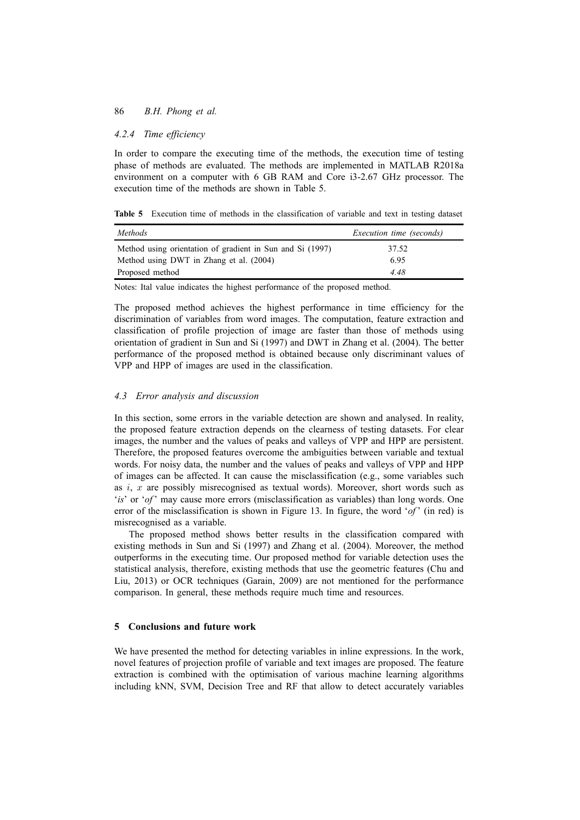### 86 *B.H. Phong et al.*

### *4.2.4 Time efficiency*

In order to compare the executing time of the methods, the execution time of testing phase of methods are evaluated. The methods are implemented in MATLAB R2018a environment on a computer with 6 GB RAM and Core i3-2.67 GHz processor. The execution time of the methods are shown in Table 5.

**Table 5** Execution time of methods in the classification of variable and text in testing dataset

| <i>Methods</i>                                            | <i>Execution time (seconds)</i> |
|-----------------------------------------------------------|---------------------------------|
| Method using orientation of gradient in Sun and Si (1997) | 37.52                           |
| Method using DWT in Zhang et al. (2004)                   | 6.95                            |
| Proposed method                                           | 4 48                            |

Notes: Ital value indicates the highest performance of the proposed method.

The proposed method achieves the highest performance in time efficiency for the discrimination of variables from word images. The computation, feature extraction and classification of profile projection of image are faster than those of methods using orientation of gradient in Sun and Si (1997) and DWT in Zhang et al. (2004). The better performance of the proposed method is obtained because only discriminant values of VPP and HPP of images are used in the classification.

### *4.3 Error analysis and discussion*

In this section, some errors in the variable detection are shown and analysed. In reality, the proposed feature extraction depends on the clearness of testing datasets. For clear images, the number and the values of peaks and valleys of VPP and HPP are persistent. Therefore, the proposed features overcome the ambiguities between variable and textual words. For noisy data, the number and the values of peaks and valleys of VPP and HPP of images can be affected. It can cause the misclassification (e.g., some variables such as *i*, *x* are possibly misrecognised as textual words). Moreover, short words such as '*is*' or '*of* ' may cause more errors (misclassification as variables) than long words. One error of the misclassification is shown in Figure 13. In figure, the word '*of* ' (in red) is misrecognised as a variable.

The proposed method shows better results in the classification compared with existing methods in Sun and Si (1997) and Zhang et al. (2004). Moreover, the method outperforms in the executing time. Our proposed method for variable detection uses the statistical analysis, therefore, existing methods that use the geometric features (Chu and Liu, 2013) or OCR techniques (Garain, 2009) are not mentioned for the performance comparison. In general, these methods require much time and resources.

#### **5 Conclusions and future work**

We have presented the method for detecting variables in inline expressions. In the work, novel features of projection profile of variable and text images are proposed. The feature extraction is combined with the optimisation of various machine learning algorithms including kNN, SVM, Decision Tree and RF that allow to detect accurately variables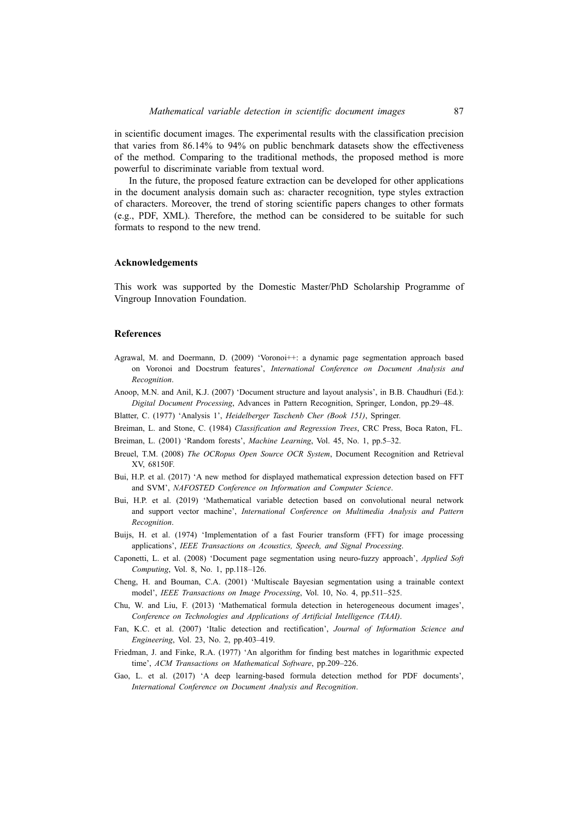in scientific document images. The experimental results with the classification precision that varies from 86.14% to 94% on public benchmark datasets show the effectiveness of the method. Comparing to the traditional methods, the proposed method is more powerful to discriminate variable from textual word.

In the future, the proposed feature extraction can be developed for other applications in the document analysis domain such as: character recognition, type styles extraction of characters. Moreover, the trend of storing scientific papers changes to other formats (e.g., PDF, XML). Therefore, the method can be considered to be suitable for such formats to respond to the new trend.

#### **Acknowledgements**

This work was supported by the Domestic Master/PhD Scholarship Programme of Vingroup Innovation Foundation.

#### **References**

- Agrawal, M. and Doermann, D. (2009) 'Voronoi++: a dynamic page segmentation approach based on Voronoi and Docstrum features', *International Conference on Document Analysis and Recognition*.
- Anoop, M.N. and Anil, K.J. (2007) 'Document structure and layout analysis', in B.B. Chaudhuri (Ed.): *Digital Document Processing*, Advances in Pattern Recognition, Springer, London, pp.29–48.
- Blatter, C. (1977) 'Analysis 1', *Heidelberger Taschenb Cher (Book 151)*, Springer.
- Breiman, L. and Stone, C. (1984) *Classification and Regression Trees*, CRC Press, Boca Raton, FL.
- Breiman, L. (2001) 'Random forests', *Machine Learning*, Vol. 45, No. 1, pp.5–32.
- Breuel, T.M. (2008) *The OCRopus Open Source OCR System*, Document Recognition and Retrieval XV, 68150F.
- Bui, H.P. et al. (2017) 'A new method for displayed mathematical expression detection based on FFT and SVM', *NAFOSTED Conference on Information and Computer Science*.
- Bui, H.P. et al. (2019) 'Mathematical variable detection based on convolutional neural network and support vector machine', *International Conference on Multimedia Analysis and Pattern Recognition*.
- Buijs, H. et al. (1974) 'Implementation of a fast Fourier transform (FFT) for image processing applications', *IEEE Transactions on Acoustics, Speech, and Signal Processing*.
- Caponetti, L. et al. (2008) 'Document page segmentation using neuro-fuzzy approach', *Applied Soft Computing*, Vol. 8, No. 1, pp.118–126.
- Cheng, H. and Bouman, C.A. (2001) 'Multiscale Bayesian segmentation using a trainable context model', *IEEE Transactions on Image Processing*, Vol. 10, No. 4, pp.511–525.
- Chu, W. and Liu, F. (2013) 'Mathematical formula detection in heterogeneous document images', *Conference on Technologies and Applications of Artificial Intelligence (TAAI)*.
- Fan, K.C. et al. (2007) 'Italic detection and rectification', *Journal of Information Science and Engineering*, Vol. 23, No. 2, pp.403–419.
- Friedman, J. and Finke, R.A. (1977) 'An algorithm for finding best matches in logarithmic expected time', *ACM Transactions on Mathematical Software*, pp.209–226.
- Gao, L. et al. (2017) 'A deep learning-based formula detection method for PDF documents', *International Conference on Document Analysis and Recognition*.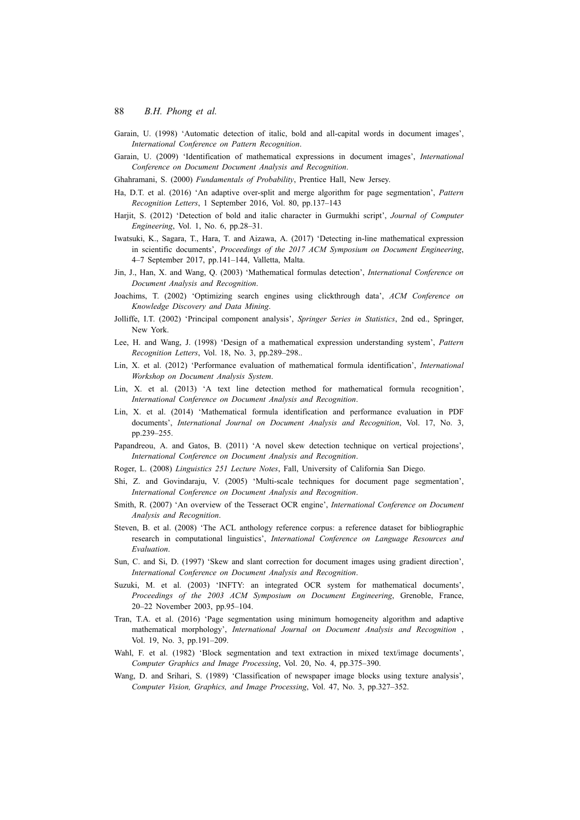- Garain, U. (1998) 'Automatic detection of italic, bold and all-capital words in document images', *International Conference on Pattern Recognition*.
- Garain, U. (2009) 'Identification of mathematical expressions in document images', *International Conference on Document Document Analysis and Recognition*.
- Ghahramani, S. (2000) *Fundamentals of Probability*, Prentice Hall, New Jersey.
- Ha, D.T. et al. (2016) 'An adaptive over-split and merge algorithm for page segmentation', *Pattern Recognition Letters*, 1 September 2016, Vol. 80, pp.137–143
- Harjit, S. (2012) 'Detection of bold and italic character in Gurmukhi script', *Journal of Computer Engineering*, Vol. 1, No. 6, pp.28–31.
- Iwatsuki, K., Sagara, T., Hara, T. and Aizawa, A. (2017) 'Detecting in-line mathematical expression in scientific documents', *Proceedings of the 2017 ACM Symposium on Document Engineering*, 4–7 September 2017, pp.141–144, Valletta, Malta.
- Jin, J., Han, X. and Wang, Q. (2003) 'Mathematical formulas detection', *International Conference on Document Analysis and Recognition*.
- Joachims, T. (2002) 'Optimizing search engines using clickthrough data', *ACM Conference on Knowledge Discovery and Data Mining*.
- Jolliffe, I.T. (2002) 'Principal component analysis', *Springer Series in Statistics*, 2nd ed., Springer, New York.
- Lee, H. and Wang, J. (1998) 'Design of a mathematical expression understanding system', *Pattern Recognition Letters*, Vol. 18, No. 3, pp.289–298..
- Lin, X. et al. (2012) 'Performance evaluation of mathematical formula identification', *International Workshop on Document Analysis System*.
- Lin, X. et al. (2013) 'A text line detection method for mathematical formula recognition', *International Conference on Document Analysis and Recognition*.
- Lin, X. et al. (2014) 'Mathematical formula identification and performance evaluation in PDF documents', *International Journal on Document Analysis and Recognition*, Vol. 17, No. 3, pp.239–255.
- Papandreou, A. and Gatos, B. (2011) 'A novel skew detection technique on vertical projections', *International Conference on Document Analysis and Recognition*.
- Roger, L. (2008) *Linguistics 251 Lecture Notes*, Fall, University of California San Diego.
- Shi, Z. and Govindaraju, V. (2005) 'Multi-scale techniques for document page segmentation', *International Conference on Document Analysis and Recognition*.
- Smith, R. (2007) 'An overview of the Tesseract OCR engine', *International Conference on Document Analysis and Recognition*.
- Steven, B. et al. (2008) 'The ACL anthology reference corpus: a reference dataset for bibliographic research in computational linguistics', *International Conference on Language Resources and Evaluation*.
- Sun, C. and Si, D. (1997) 'Skew and slant correction for document images using gradient direction', *International Conference on Document Analysis and Recognition*.
- Suzuki, M. et al. (2003) 'INFTY: an integrated OCR system for mathematical documents', *Proceedings of the 2003 ACM Symposium on Document Engineering*, Grenoble, France, 20–22 November 2003, pp.95–104.
- Tran, T.A. et al. (2016) 'Page segmentation using minimum homogeneity algorithm and adaptive mathematical morphology', *International Journal on Document Analysis and Recognition* , Vol. 19, No. 3, pp.191–209.
- Wahl, F. et al. (1982) 'Block segmentation and text extraction in mixed text/image documents', *Computer Graphics and Image Processing*, Vol. 20, No. 4, pp.375–390.
- Wang, D. and Srihari, S. (1989) 'Classification of newspaper image blocks using texture analysis', *Computer Vision, Graphics, and Image Processing*, Vol. 47, No. 3, pp.327–352.